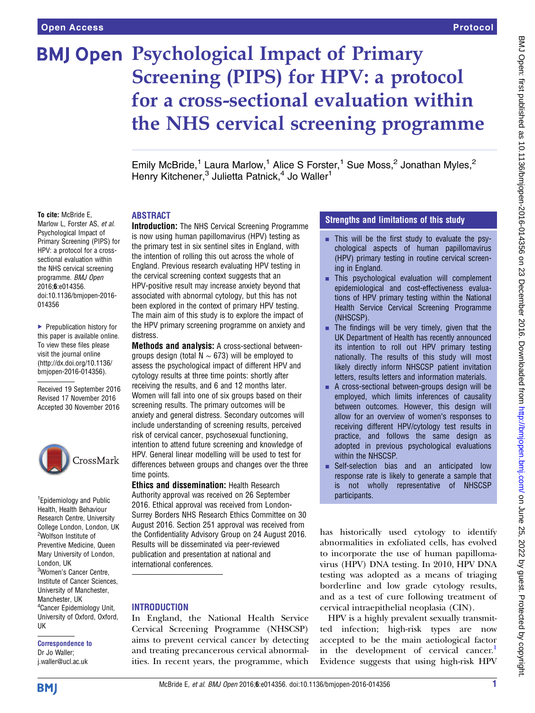# **BMJ Open Psychological Impact of Primary<br>Screening (PIPS) for HPV: a protocol** for a cross-sectional evaluation within the NHS cervical screening programm  $\sigma$  is  $\sigma$

Emily McBride,<sup>1</sup> Laura Marlow,<sup>1</sup> Alice S Forster,<sup>1</sup> Sue Moss,<sup>2</sup> Jonathan Myles,<sup>2</sup> Henry Kitchener,<sup>3</sup> Julietta Patnick,<sup>4</sup> Jo Waller<sup>1</sup>

#### To cite: McBride E,

Marlow L, Forster AS, et al. Psychological Impact of Primary Screening (PIPS) for HPV: a protocol for a crosssectional evaluation within the NHS cervical screening programme. BMJ Open 2016;6:e014356. doi:10.1136/bmjopen-2016- 014356

▶ Prepublication history for this paper is available online. To view these files please visit the journal online [\(http://dx.doi.org/10.1136/](http://dx.doi.org/10.1136/bmjopen-2016-014356) [bmjopen-2016-014356](http://dx.doi.org/10.1136/bmjopen-2016-014356)).

Received 19 September 2016 Revised 17 November 2016 Accepted 30 November 2016



<sup>1</sup> Epidemiology and Public Health, Health Behaviour Research Centre, University College London, London, UK 2 Wolfson Institute of Preventive Medicine, Queen Mary University of London, London, UK <sup>3</sup>Women's Cancer Centre, Institute of Cancer Sciences, University of Manchester, Manchester, UK <sup>4</sup> Cancer Epidemiology Unit, University of Oxford, Oxford, UK

# Correspondence to

Dr Jo Waller; j.waller@ucl.ac.uk

#### ABSTRACT

Introduction: The NHS Cervical Screening Programme is now using human papillomavirus (HPV) testing as the primary test in six sentinel sites in England, with the intention of rolling this out across the whole of England. Previous research evaluating HPV testing in the cervical screening context suggests that an HPV-positive result may increase anxiety beyond that associated with abnormal cytology, but this has not been explored in the context of primary HPV testing. The main aim of this study is to explore the impact of the HPV primary screening programme on anxiety and distress.

Methods and analysis: A cross-sectional betweengroups design (total N  $\sim$  673) will be employed to assess the psychological impact of different HPV and cytology results at three time points: shortly after receiving the results, and 6 and 12 months later. Women will fall into one of six groups based on their screening results. The primary outcomes will be anxiety and general distress. Secondary outcomes will include understanding of screening results, perceived risk of cervical cancer, psychosexual functioning, intention to attend future screening and knowledge of HPV. General linear modelling will be used to test for differences between groups and changes over the three time points.

Ethics and dissemination: Health Research Authority approval was received on 26 September 2016. Ethical approval was received from London-Surrey Borders NHS Research Ethics Committee on 30 August 2016. Section 251 approval was received from the Confidentiality Advisory Group on 24 August 2016. Results will be disseminated via peer-reviewed publication and presentation at national and international conferences.

#### **INTRODUCTION**

In England, the National Health Service Cervical Screening Programme (NHSCSP) aims to prevent cervical cancer by detecting and treating precancerous cervical abnormalities. In recent years, the programme, which

## Strengths and limitations of this study

- This will be the first study to evaluate the psychological aspects of human papillomavirus (HPV) primary testing in routine cervical screening in England.
- $\blacksquare$  This psychological evaluation will complement epidemiological and cost-effectiveness evaluations of HPV primary testing within the National Health Service Cervical Screening Programme (NHSCSP).
- The findings will be very timely, given that the UK Department of Health has recently announced its intention to roll out HPV primary testing nationally. The results of this study will most likely directly inform NHSCSP patient invitation letters, results letters and information materials.
- A cross-sectional between-groups design will be employed, which limits inferences of causality between outcomes. However, this design will allow for an overview of women's responses to receiving different HPV/cytology test results in practice, and follows the same design as adopted in previous psychological evaluations within the NHSCSP.
- Self-selection bias and an anticipated low response rate is likely to generate a sample that is not wholly representative of NHSCSP participants.

has historically used cytology to identify abnormalities in exfoliated cells, has evolved to incorporate the use of human papillomavirus (HPV) DNA testing. In 2010, HPV DNA testing was adopted as a means of triaging borderline and low grade cytology results, and as a test of cure following treatment of cervical intraepithelial neoplasia (CIN).

HPV is a highly prevalent sexually transmitted infection; high-risk types are now accepted to be the main aetiological factor in the development of cervical cancer.<sup>1</sup> Evidence suggests that using high-risk HPV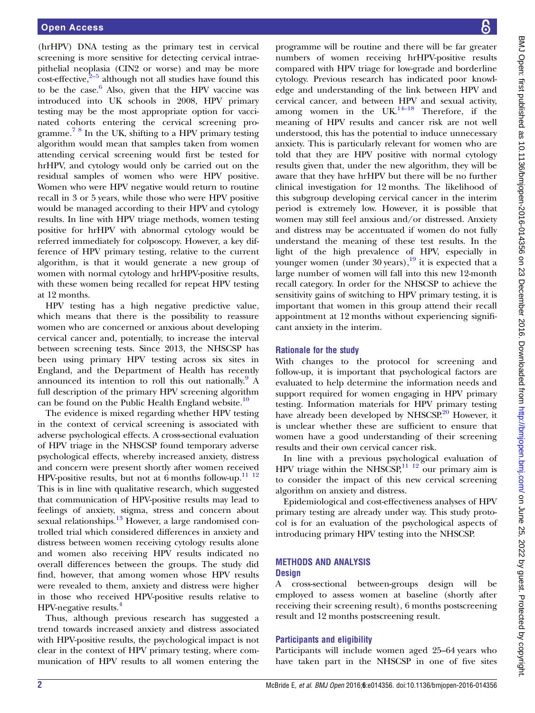(hrHPV) DNA testing as the primary test in cervical screening is more sensitive for detecting cervical intraepithelial neoplasia (CIN2 or worse) and may be more  $\csc\left(\frac{2}{5}\right)$  $\csc\left(\frac{2}{5}\right)$  $\csc\left(\frac{2}{5}\right)$  although not all studies have found this to be the case. $6$  Also, given that the HPV vaccine was introduced into UK schools in 2008, HPV primary testing may be the most appropriate option for vaccinated cohorts entering the cervical screening programme.<sup>7 8</sup> In the UK, shifting to a HPV primary testing algorithm would mean that samples taken from women attending cervical screening would first be tested for hrHPV, and cytology would only be carried out on the residual samples of women who were HPV positive. Women who were HPV negative would return to routine recall in 3 or 5 years, while those who were HPV positive would be managed according to their HPV and cytology results. In line with HPV triage methods, women testing positive for hrHPV with abnormal cytology would be referred immediately for colposcopy. However, a key difference of HPV primary testing, relative to the current algorithm, is that it would generate a new group of women with normal cytology and hrHPV-positive results, with these women being recalled for repeat HPV testing at 12 months.

HPV testing has a high negative predictive value, which means that there is the possibility to reassure women who are concerned or anxious about developing cervical cancer and, potentially, to increase the interval between screening tests. Since 2013, the NHSCSP has been using primary HPV testing across six sites in England, and the Department of Health has recently announced its intention to roll this out nationally.  $A$ full description of the primary HPV screening algorithm can be found on the Public Health England website.<sup>[10](#page-6-0)</sup>

The evidence is mixed regarding whether HPV testing in the context of cervical screening is associated with adverse psychological effects. A cross-sectional evaluation of HPV triage in the NHSCSP found temporary adverse psychological effects, whereby increased anxiety, distress and concern were present shortly after women received HPV-positive results, but not at 6 months follow-up. $^{11}$   $^{12}$ This is in line with qualitative research, which suggested that communication of HPV-positive results may lead to feelings of anxiety, stigma, stress and concern about sexual relationships.<sup>13</sup> However, a large randomised controlled trial which considered differences in anxiety and distress between women receiving cytology results alone and women also receiving HPV results indicated no overall differences between the groups. The study did find, however, that among women whose HPV results were revealed to them, anxiety and distress were higher in those who received HPV-positive results relative to HPV-negative results.<sup>[4](#page-5-0)</sup>

Thus, although previous research has suggested a trend towards increased anxiety and distress associated with HPV-positive results, the psychological impact is not clear in the context of HPV primary testing, where communication of HPV results to all women entering the

programme will be routine and there will be far greater numbers of women receiving hrHPV-positive results compared with HPV triage for low-grade and borderline cytology. Previous research has indicated poor knowledge and understanding of the link between HPV and cervical cancer, and between HPV and sexual activity, among women in the  $UK.<sup>14–18</sup>$  $UK.<sup>14–18</sup>$  $UK.<sup>14–18</sup>$  Therefore, if the meaning of HPV results and cancer risk are not well understood, this has the potential to induce unnecessary anxiety. This is particularly relevant for women who are told that they are HPV positive with normal cytology results given that, under the new algorithm, they will be aware that they have hrHPV but there will be no further clinical investigation for 12 months. The likelihood of this subgroup developing cervical cancer in the interim period is extremely low. However, it is possible that women may still feel anxious and/or distressed. Anxiety and distress may be accentuated if women do not fully understand the meaning of these test results. In the light of the high prevalence of HPV, especially in younger women (under  $30$  years),<sup>[19](#page-6-0)</sup> it is expected that a large number of women will fall into this new 12-month recall category. In order for the NHSCSP to achieve the sensitivity gains of switching to HPV primary testing, it is important that women in this group attend their recall appointment at 12 months without experiencing significant anxiety in the interim.

#### Rationale for the study

With changes to the protocol for screening and follow-up, it is important that psychological factors are evaluated to help determine the information needs and support required for women engaging in HPV primary testing. Information materials for HPV primary testing have already been developed by NHSCSP.<sup>[20](#page-6-0)</sup> However, it is unclear whether these are sufficient to ensure that women have a good understanding of their screening results and their own cervical cancer risk.

In line with a previous psychological evaluation of HPV triage within the NHSCSP, $^{11}$  12 our primary aim is to consider the impact of this new cervical screening algorithm on anxiety and distress.

Epidemiological and cost-effectiveness analyses of HPV primary testing are already under way. This study protocol is for an evaluation of the psychological aspects of introducing primary HPV testing into the NHSCSP.

#### METHODS AND ANALYSIS **Design**

A cross-sectional between-groups design will be employed to assess women at baseline (shortly after receiving their screening result), 6 months postscreening result and 12 months postscreening result.

## Participants and eligibility

Participants will include women aged 25–64 years who have taken part in the NHSCSP in one of five sites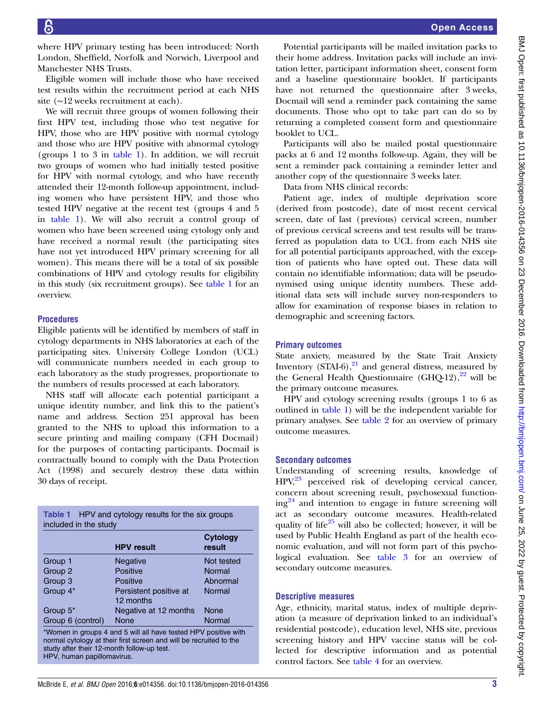where HPV primary testing has been introduced: North London, Sheffield, Norfolk and Norwich, Liverpool and Manchester NHS Trusts.

Eligible women will include those who have received test results within the recruitment period at each NHS site (∼12 weeks recruitment at each).

We will recruit three groups of women following their first HPV test, including those who test negative for HPV, those who are HPV positive with normal cytology and those who are HPV positive with abnormal cytology (groups 1 to 3 in table 1). In addition, we will recruit two groups of women who had initially tested positive for HPV with normal cytology, and who have recently attended their 12-month follow-up appointment, including women who have persistent HPV, and those who tested HPV negative at the recent test (groups 4 and 5 in table 1). We will also recruit a control group of women who have been screened using cytology only and have received a normal result (the participating sites have not yet introduced HPV primary screening for all women). This means there will be a total of six possible combinations of HPV and cytology results for eligibility in this study (six recruitment groups). See table 1 for an overview.

# **Procedures**

Eligible patients will be identified by members of staff in cytology departments in NHS laboratories at each of the participating sites. University College London (UCL) will communicate numbers needed in each group to each laboratory as the study progresses, proportionate to the numbers of results processed at each laboratory.

NHS staff will allocate each potential participant a unique identity number, and link this to the patient's name and address. Section 251 approval has been granted to the NHS to upload this information to a secure printing and mailing company (CFH Docmail) for the purposes of contacting participants. Docmail is contractually bound to comply with the Data Protection Act (1998) and securely destroy these data within 30 days of receipt.

| <b>Table 1</b> HPV and cytology results for the six groups<br>included in the study |                                                                                                                                       |                           |  |  |
|-------------------------------------------------------------------------------------|---------------------------------------------------------------------------------------------------------------------------------------|---------------------------|--|--|
|                                                                                     | <b>HPV</b> result                                                                                                                     | <b>Cytology</b><br>result |  |  |
| Group 1                                                                             | <b>Negative</b>                                                                                                                       | Not tested                |  |  |
| Group 2                                                                             | <b>Positive</b>                                                                                                                       | Normal                    |  |  |
| Group 3                                                                             | Positive                                                                                                                              | Abnormal                  |  |  |
| Group 4*                                                                            | Persistent positive at<br>12 months                                                                                                   | Normal                    |  |  |
| Group 5 <sup>*</sup>                                                                | Negative at 12 months                                                                                                                 | None                      |  |  |
| Group 6 (control)                                                                   | None                                                                                                                                  | Normal                    |  |  |
|                                                                                     | *Women in groups 4 and 5 will all have tested HPV positive with<br>normal cytology at their first screen and will be recruited to the |                           |  |  |

normal cytology at their first screen and will be recruited to the study after their 12-month follow-up test. HPV, human papillomavirus.

Potential participants will be mailed invitation packs to their home address. Invitation packs will include an invitation letter, participant information sheet, consent form and a baseline questionnaire booklet. If participants have not returned the questionnaire after 3 weeks, Docmail will send a reminder pack containing the same documents. Those who opt to take part can do so by returning a completed consent form and questionnaire booklet to UCL.

Participants will also be mailed postal questionnaire packs at 6 and 12 months follow-up. Again, they will be sent a reminder pack containing a reminder letter and another copy of the questionnaire 3 weeks later.

Data from NHS clinical records:

Patient age, index of multiple deprivation score (derived from postcode), date of most recent cervical screen, date of last (previous) cervical screen, number of previous cervical screens and test results will be transferred as population data to UCL from each NHS site for all potential participants approached, with the exception of patients who have opted out. These data will contain no identifiable information; data will be pseudonymised using unique identity numbers. These additional data sets will include survey non-responders to allow for examination of response biases in relation to demographic and screening factors.

# Primary outcomes

State anxiety, measured by the State Trait Anxiety Inventory  $(STAI-6)$ ,<sup>[21](#page-6-0)</sup> and general distress, measured by the General Health Questionnaire  $(GHO-12)$ ,  $^{22}$  $^{22}$  $^{22}$  will be the primary outcome measures.

HPV and cytology screening results (groups 1 to 6 as outlined in table 1) will be the independent variable for primary analyses. See [table 2](#page-3-0) for an overview of primary outcome measures.

# Secondary outcomes

Understanding of screening results, knowledge of  $HPV<sub>1</sub><sup>23</sup>$  perceived risk of developing cervical cancer, concern about screening result, psychosexual function- $ing<sup>24</sup>$  $ing<sup>24</sup>$  $ing<sup>24</sup>$  and intention to engage in future screening will act as secondary outcome measures. Health-related quality of life<sup>[25](#page-6-0)</sup> will also be collected; however, it will be used by Public Health England as part of the health economic evaluation, and will not form part of this psychological evaluation. See [table 3](#page-4-0) for an overview of secondary outcome measures.

# Descriptive measures

Age, ethnicity, marital status, index of multiple deprivation (a measure of deprivation linked to an individual's residential postcode), education level, NHS site, previous screening history and HPV vaccine status will be collected for descriptive information and as potential control factors. See [table 4](#page-5-0) for an overview.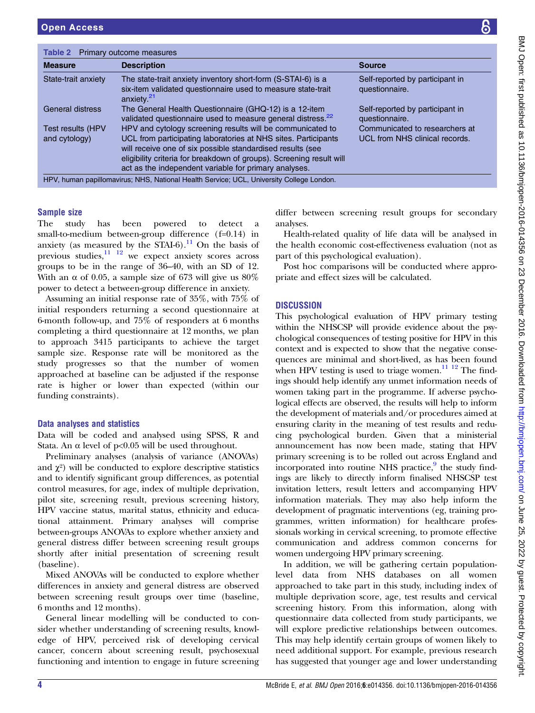<span id="page-3-0"></span>

| <b>Table 2</b> Primary outcome measures   |                                                                                                                                                                                                                                                                                                                             |                                                                  |  |  |
|-------------------------------------------|-----------------------------------------------------------------------------------------------------------------------------------------------------------------------------------------------------------------------------------------------------------------------------------------------------------------------------|------------------------------------------------------------------|--|--|
| <b>Measure</b>                            | <b>Description</b>                                                                                                                                                                                                                                                                                                          | <b>Source</b>                                                    |  |  |
| State-trait anxiety                       | The state-trait anxiety inventory short-form (S-STAI-6) is a<br>six-item validated questionnaire used to measure state-trait<br>anxiety. <sup>21</sup>                                                                                                                                                                      | Self-reported by participant in<br>questionnaire.                |  |  |
| General distress                          | The General Health Questionnaire (GHQ-12) is a 12-item<br>validated questionnaire used to measure general distress. <sup>22</sup>                                                                                                                                                                                           | Self-reported by participant in<br>questionnaire.                |  |  |
| <b>Test results (HPV</b><br>and cytology) | HPV and cytology screening results will be communicated to<br>UCL from participating laboratories at NHS sites. Participants<br>will receive one of six possible standardised results (see<br>eligibility criteria for breakdown of groups). Screening result will<br>act as the independent variable for primary analyses. | Communicated to researchers at<br>UCL from NHS clinical records. |  |  |
|                                           | HPV, human papillomavirus; NHS, National Health Service; UCL, University College London.                                                                                                                                                                                                                                    |                                                                  |  |  |

## Sample size

The study has been powered to detect a small-to-medium between-group difference (f=0.14) in anxiety (as measured by the STAI-6).<sup>[11](#page-6-0)</sup> On the basis of previous studies, $\frac{11}{12}$  we expect anxiety scores across groups to be in the range of 36–40, with an SD of 12. With an  $\alpha$  of 0.05, a sample size of 673 will give us 80% power to detect a between-group difference in anxiety.

Assuming an initial response rate of 35%, with 75% of initial responders returning a second questionnaire at 6-month follow-up, and 75% of responders at 6 months completing a third questionnaire at 12 months, we plan to approach 3415 participants to achieve the target sample size. Response rate will be monitored as the study progresses so that the number of women approached at baseline can be adjusted if the response rate is higher or lower than expected (within our funding constraints).

#### Data analyses and statistics

Data will be coded and analysed using SPSS, R and Stata. An  $\alpha$  level of p<0.05 will be used throughout.

Preliminary analyses (analysis of variance (ANOVAs) and  $\chi^2$ ) will be conducted to explore descriptive statistics and to identify significant group differences, as potential control measures, for age, index of multiple deprivation, pilot site, screening result, previous screening history, HPV vaccine status, marital status, ethnicity and educational attainment. Primary analyses will comprise between-groups ANOVAs to explore whether anxiety and general distress differ between screening result groups shortly after initial presentation of screening result (baseline).

Mixed ANOVAs will be conducted to explore whether differences in anxiety and general distress are observed between screening result groups over time (baseline, 6 months and 12 months).

General linear modelling will be conducted to consider whether understanding of screening results, knowledge of HPV, perceived risk of developing cervical cancer, concern about screening result, psychosexual functioning and intention to engage in future screening

differ between screening result groups for secondary analyses.

Health-related quality of life data will be analysed in the health economic cost-effectiveness evaluation (not as part of this psychological evaluation).

Post hoc comparisons will be conducted where appropriate and effect sizes will be calculated.

## **DISCUSSION**

This psychological evaluation of HPV primary testing within the NHSCSP will provide evidence about the psychological consequences of testing positive for HPV in this context and is expected to show that the negative consequences are minimal and short-lived, as has been found when HPV testing is used to triage women.<sup>[11 12](#page-6-0)</sup> The findings should help identify any unmet information needs of women taking part in the programme. If adverse psychological effects are observed, the results will help to inform the development of materials and/or procedures aimed at ensuring clarity in the meaning of test results and reducing psychological burden. Given that a ministerial announcement has now been made, stating that HPV primary screening is to be rolled out across England and incorporated into routine NHS practice, $\frac{9}{3}$  the study findings are likely to directly inform finalised NHSCSP test invitation letters, result letters and accompanying HPV information materials. They may also help inform the development of pragmatic interventions (eg, training programmes, written information) for healthcare professionals working in cervical screening, to promote effective communication and address common concerns for women undergoing HPV primary screening.

In addition, we will be gathering certain populationlevel data from NHS databases on all women approached to take part in this study, including index of multiple deprivation score, age, test results and cervical screening history. From this information, along with questionnaire data collected from study participants, we will explore predictive relationships between outcomes. This may help identify certain groups of women likely to need additional support. For example, previous research has suggested that younger age and lower understanding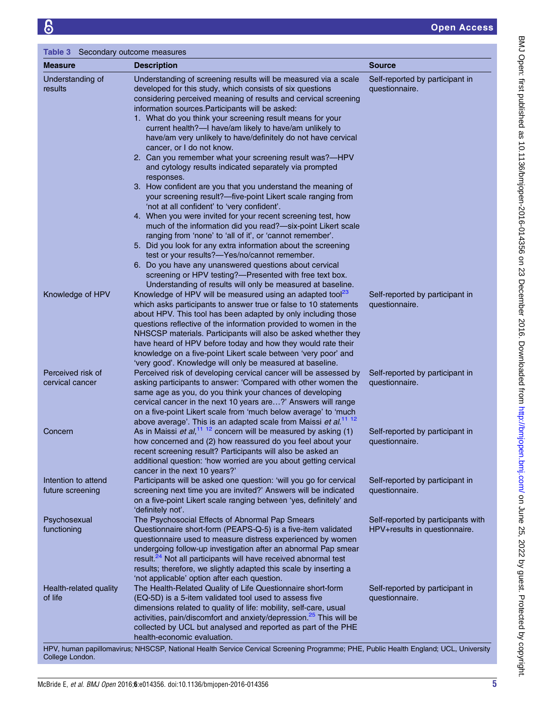<span id="page-4-0"></span>

| Table 3 Secondary outcome measures      |                                                                                                                                                                                                                                                                                                                                                                                                                                                                                                                                                                                                                                                                                                                                                                                                                                                                                                                                                                                                                                                                                                                                                                                                                                                                                              |                                                                     |  |  |
|-----------------------------------------|----------------------------------------------------------------------------------------------------------------------------------------------------------------------------------------------------------------------------------------------------------------------------------------------------------------------------------------------------------------------------------------------------------------------------------------------------------------------------------------------------------------------------------------------------------------------------------------------------------------------------------------------------------------------------------------------------------------------------------------------------------------------------------------------------------------------------------------------------------------------------------------------------------------------------------------------------------------------------------------------------------------------------------------------------------------------------------------------------------------------------------------------------------------------------------------------------------------------------------------------------------------------------------------------|---------------------------------------------------------------------|--|--|
| <b>Measure</b>                          | <b>Description</b>                                                                                                                                                                                                                                                                                                                                                                                                                                                                                                                                                                                                                                                                                                                                                                                                                                                                                                                                                                                                                                                                                                                                                                                                                                                                           | <b>Source</b>                                                       |  |  |
| Understanding of<br>results             | Understanding of screening results will be measured via a scale<br>developed for this study, which consists of six questions<br>considering perceived meaning of results and cervical screening<br>information sources. Participants will be asked:<br>1. What do you think your screening result means for your<br>current health?-I have/am likely to have/am unlikely to<br>have/am very unlikely to have/definitely do not have cervical<br>cancer, or I do not know.<br>2. Can you remember what your screening result was?-HPV<br>and cytology results indicated separately via prompted<br>responses.<br>3. How confident are you that you understand the meaning of<br>your screening result?-five-point Likert scale ranging from<br>'not at all confident' to 'very confident'.<br>4. When you were invited for your recent screening test, how<br>much of the information did you read?-six-point Likert scale<br>ranging from 'none' to 'all of it', or 'cannot remember'.<br>5. Did you look for any extra information about the screening<br>test or your results?-Yes/no/cannot remember.<br>6. Do you have any unanswered questions about cervical<br>screening or HPV testing?-Presented with free text box.<br>Understanding of results will only be measured at baseline. | Self-reported by participant in<br>questionnaire.                   |  |  |
| Knowledge of HPV                        | Knowledge of HPV will be measured using an adapted tool <sup>23</sup><br>which asks participants to answer true or false to 10 statements<br>about HPV. This tool has been adapted by only including those<br>questions reflective of the information provided to women in the<br>NHSCSP materials. Participants will also be asked whether they<br>have heard of HPV before today and how they would rate their<br>knowledge on a five-point Likert scale between 'very poor' and<br>'very good'. Knowledge will only be measured at baseline.                                                                                                                                                                                                                                                                                                                                                                                                                                                                                                                                                                                                                                                                                                                                              | Self-reported by participant in<br>questionnaire.                   |  |  |
| Perceived risk of<br>cervical cancer    | Perceived risk of developing cervical cancer will be assessed by<br>asking participants to answer: 'Compared with other women the<br>same age as you, do you think your chances of developing<br>cervical cancer in the next 10 years are?' Answers will range<br>on a five-point Likert scale from 'much below average' to 'much<br>above average'. This is an adapted scale from Maissi et al. <sup>11</sup> <sup>12</sup>                                                                                                                                                                                                                                                                                                                                                                                                                                                                                                                                                                                                                                                                                                                                                                                                                                                                 | Self-reported by participant in<br>questionnaire.                   |  |  |
| Concern                                 | As in Maissi et al, $11^{12}$ concern will be measured by asking (1)<br>how concerned and (2) how reassured do you feel about your<br>recent screening result? Participants will also be asked an<br>additional question: 'how worried are you about getting cervical<br>cancer in the next 10 years?'                                                                                                                                                                                                                                                                                                                                                                                                                                                                                                                                                                                                                                                                                                                                                                                                                                                                                                                                                                                       | Self-reported by participant in<br>questionnaire.                   |  |  |
| Intention to attend<br>future screening | Participants will be asked one question: 'will you go for cervical<br>screening next time you are invited?' Answers will be indicated<br>on a five-point Likert scale ranging between 'yes, definitely' and<br>'definitely not'.                                                                                                                                                                                                                                                                                                                                                                                                                                                                                                                                                                                                                                                                                                                                                                                                                                                                                                                                                                                                                                                             | Self-reported by participant in<br>questionnaire.                   |  |  |
| Psychosexual<br>functioning             | The Psychosocial Effects of Abnormal Pap Smears<br>Questionnaire short-form (PEAPS-Q-5) is a five-item validated<br>questionnaire used to measure distress experienced by women<br>undergoing follow-up investigation after an abnormal Pap smear<br>result. <sup>24</sup> Not all participants will have received abnormal test<br>results; therefore, we slightly adapted this scale by inserting a<br>'not applicable' option after each question.                                                                                                                                                                                                                                                                                                                                                                                                                                                                                                                                                                                                                                                                                                                                                                                                                                        | Self-reported by participants with<br>HPV+results in questionnaire. |  |  |
| Health-related quality<br>of life       | The Health-Related Quality of Life Questionnaire short-form<br>(EQ-5D) is a 5-item validated tool used to assess five<br>dimensions related to quality of life: mobility, self-care, usual<br>activities, pain/discomfort and anxiety/depression. <sup>25</sup> This will be<br>collected by UCL but analysed and reported as part of the PHE<br>health-economic evaluation.                                                                                                                                                                                                                                                                                                                                                                                                                                                                                                                                                                                                                                                                                                                                                                                                                                                                                                                 | Self-reported by participant in<br>questionnaire.                   |  |  |
|                                         | HPV, human papillomavirus; NHSCSP, National Health Service Cervical Screening Programme; PHE, Public Health England; UCL, University                                                                                                                                                                                                                                                                                                                                                                                                                                                                                                                                                                                                                                                                                                                                                                                                                                                                                                                                                                                                                                                                                                                                                         |                                                                     |  |  |

BMJ Open: first published as 10.1136/bmjopen-2016-014356 on 23 December 2016. Downloaded from <http://bmjopen.bmj.com/> on June 25, 2022 by guest. Protected by copyright.

BMJ Open: first published as 10.1136/bmjopen-2016-014356 on 23 December 2016. Downloaded from http://bmjopen.bmj.com/ on June 25, 2022 by guest. Protected by copyright.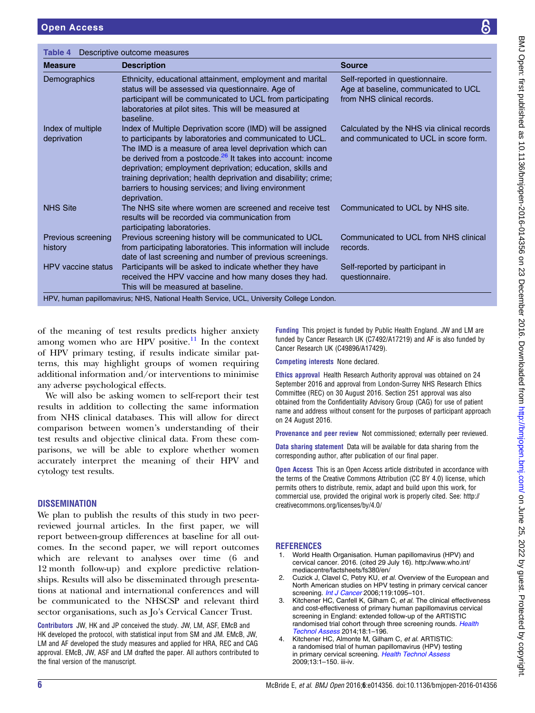<span id="page-5-0"></span>

| <b>Measure</b>                   | <b>Description</b>                                                                                                                                                                                                                                                                                                                                                                                                                                                     | <b>Source</b>                                                                                         |
|----------------------------------|------------------------------------------------------------------------------------------------------------------------------------------------------------------------------------------------------------------------------------------------------------------------------------------------------------------------------------------------------------------------------------------------------------------------------------------------------------------------|-------------------------------------------------------------------------------------------------------|
| Demographics                     | Ethnicity, educational attainment, employment and marital<br>status will be assessed via questionnaire. Age of<br>participant will be communicated to UCL from participating<br>laboratories at pilot sites. This will be measured at<br>baseline.                                                                                                                                                                                                                     | Self-reported in questionnaire.<br>Age at baseline, communicated to UCL<br>from NHS clinical records. |
| Index of multiple<br>deprivation | Index of Multiple Deprivation score (IMD) will be assigned<br>to participants by laboratories and communicated to UCL.<br>The IMD is a measure of area level deprivation which can<br>be derived from a postcode. <sup>26</sup> It takes into account: income<br>deprivation; employment deprivation; education, skills and<br>training deprivation; health deprivation and disability; crime;<br>barriers to housing services; and living environment<br>deprivation. | Calculated by the NHS via clinical records<br>and communicated to UCL in score form.                  |
| <b>NHS Site</b>                  | The NHS site where women are screened and receive test<br>results will be recorded via communication from<br>participating laboratories.                                                                                                                                                                                                                                                                                                                               | Communicated to UCL by NHS site.                                                                      |
| Previous screening<br>history    | Previous screening history will be communicated to UCL<br>from participating laboratories. This information will include<br>date of last screening and number of previous screenings.                                                                                                                                                                                                                                                                                  | Communicated to UCL from NHS clinical<br>records.                                                     |
| HPV vaccine status               | Participants will be asked to indicate whether they have<br>received the HPV vaccine and how many doses they had.<br>This will be measured at baseline.                                                                                                                                                                                                                                                                                                                | Self-reported by participant in<br>questionnaire.                                                     |

of the meaning of test results predicts higher anxiety among women who are HPV positive.<sup>[11](#page-6-0)</sup> In the context of HPV primary testing, if results indicate similar patterns, this may highlight groups of women requiring additional information and/or interventions to minimise any adverse psychological effects.

We will also be asking women to self-report their test results in addition to collecting the same information from NHS clinical databases. This will allow for direct comparison between women's understanding of their test results and objective clinical data. From these comparisons, we will be able to explore whether women accurately interpret the meaning of their HPV and cytology test results.

## **DISSEMINATION**

We plan to publish the results of this study in two peerreviewed journal articles. In the first paper, we will report between-group differences at baseline for all outcomes. In the second paper, we will report outcomes which are relevant to analyses over time (6 and 12 month follow-up) and explore predictive relationships. Results will also be disseminated through presentations at national and international conferences and will be communicated to the NHSCSP and relevant third sector organisations, such as Jo's Cervical Cancer Trust.

Contributors JW, HK and JP conceived the study. JW, LM, ASF, EMcB and HK developed the protocol, with statistical input from SM and JM. EMcB, JW, LM and AF developed the study measures and applied for HRA, REC and CAG approval. EMcB, JW, ASF and LM drafted the paper. All authors contributed to the final version of the manuscript.

Funding This project is funded by Public Health England. JW and LM are funded by Cancer Research UK (C7492/A17219) and AF is also funded by Cancer Research UK (C49896/A17429).

Competing interests None declared.

Ethics approval Health Research Authority approval was obtained on 24 September 2016 and approval from London-Surrey NHS Research Ethics Committee (REC) on 30 August 2016. Section 251 approval was also obtained from the Confidentiality Advisory Group (CAG) for use of patient name and address without consent for the purposes of participant approach on 24 August 2016.

Provenance and peer review Not commissioned; externally peer reviewed.

Data sharing statement Data will be available for data sharing from the corresponding author, after publication of our final paper.

Open Access This is an Open Access article distributed in accordance with the terms of the Creative Commons Attribution (CC BY 4.0) license, which permits others to distribute, remix, adapt and build upon this work, for commercial use, provided the original work is properly cited. See: [http://](http://creativecommons.org/licenses/by/4.0/) [creativecommons.org/licenses/by/4.0/](http://creativecommons.org/licenses/by/4.0/)

#### **REFERENCES**

- 1. World Health Organisation. Human papillomavirus (HPV) and cervical cancer. 2016. (cited 29 July 16). [http://www.who.int/](http://www.who.int/mediacentre/factsheets/fs380/en/) [mediacentre/factsheets/fs380/en/](http://www.who.int/mediacentre/factsheets/fs380/en/)
- 2. Cuzick J, Clavel C, Petry KU, et al. Overview of the European and North American studies on HPV testing in primary cervical cancer screening. *[Int J Cancer](http://dx.doi.org/10.1002/ijc.21955)* 2006;119:1095-101.
- 3. Kitchener HC, Canfell K, Gilham C, et al. The clinical effectiveness and cost-effectiveness of primary human papillomavirus cervical screening in England: extended follow-up of the ARTISTIC randomised trial cohort through three screening rounds. [Health](http://dx.doi.org/10.3310/hta18230) [Technol Assess](http://dx.doi.org/10.3310/hta18230) 2014;18:1–196.
- Kitchener HC, Almonte M, Gilham C, et al. ARTISTIC: a randomised trial of human papillomavirus (HPV) testing in primary cervical screening. [Health Technol Assess](http://dx.doi.org/10.3310/hta13510) 2009;13:1–150. iii-iv.